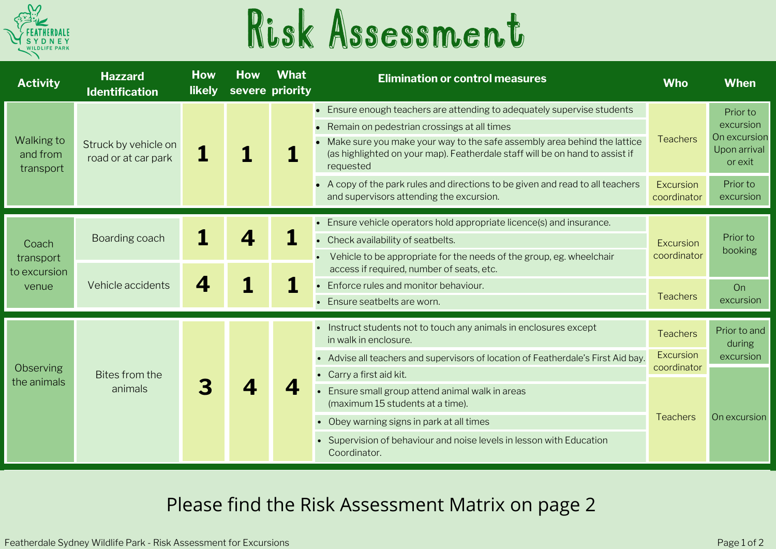

## Risk Assessment

| <b>Activity</b>                             | <b>Hazzard</b><br><b>Identification</b>     | <b>How</b><br><b>likely</b> | <b>How</b><br>severe priority | <b>What</b> | <b>Elimination or control measures</b>                                                                                                                                                                                                                                                          | <b>Who</b>                      | <b>When</b>                                                      |
|---------------------------------------------|---------------------------------------------|-----------------------------|-------------------------------|-------------|-------------------------------------------------------------------------------------------------------------------------------------------------------------------------------------------------------------------------------------------------------------------------------------------------|---------------------------------|------------------------------------------------------------------|
| Walking to<br>and from<br>transport         | Struck by vehicle on<br>road or at car park |                             |                               |             | • Ensure enough teachers are attending to adequately supervise students<br>Remain on pedestrian crossings at all times<br>Make sure you make your way to the safe assembly area behind the lattice<br>(as highlighted on your map). Featherdale staff will be on hand to assist if<br>requested | <b>Teachers</b>                 | Prior to<br>excursion<br>On excursion<br>Upon arrival<br>or exit |
|                                             |                                             |                             |                               |             | A copy of the park rules and directions to be given and read to all teachers<br>and supervisors attending the excursion.                                                                                                                                                                        | <b>Excursion</b><br>coordinator | Prior to<br>excursion                                            |
| Coach<br>transport<br>to excursion<br>venue | Boarding coach                              |                             |                               |             | • Ensure vehicle operators hold appropriate licence(s) and insurance.<br>Check availability of seatbelts.<br>Vehicle to be appropriate for the needs of the group, eg. wheelchair<br>access if required, number of seats, etc.                                                                  | Excursion<br>coordinator        | Prior to<br>booking                                              |
|                                             | Vehicle accidents                           |                             |                               |             | Enforce rules and monitor behaviour.<br>• Ensure seatbelts are worn.                                                                                                                                                                                                                            | <b>Teachers</b>                 | On<br>excursion                                                  |
| Observing<br>the animals                    | Bites from the<br>animals                   |                             |                               |             | • Instruct students not to touch any animals in enclosures except<br>in walk in enclosure.                                                                                                                                                                                                      | <b>Teachers</b>                 | Prior to and<br>during                                           |
|                                             |                                             |                             |                               |             | • Advise all teachers and supervisors of location of Featherdale's First Aid bay.<br>• Carry a first aid kit.                                                                                                                                                                                   | Excursion<br>coordinator        | excursion                                                        |
|                                             |                                             |                             |                               |             | Ensure small group attend animal walk in areas<br>(maximum 15 students at a time).                                                                                                                                                                                                              | <b>Teachers</b>                 | On excursion                                                     |
|                                             |                                             |                             |                               |             | • Obey warning signs in park at all times                                                                                                                                                                                                                                                       |                                 |                                                                  |
|                                             |                                             |                             |                               |             | • Supervision of behaviour and noise levels in lesson with Education<br>Coordinator.                                                                                                                                                                                                            |                                 |                                                                  |

## Please find the Risk Assessment Matrix on page 2